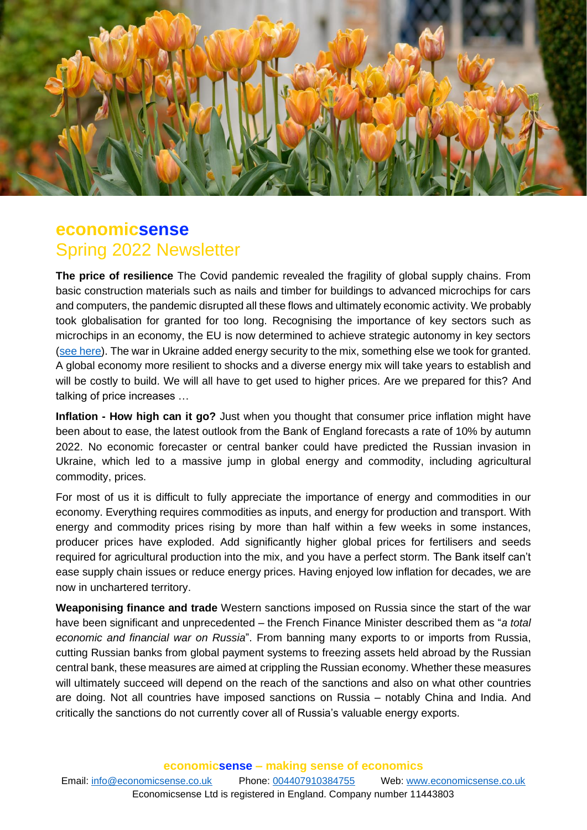

## **economicsense** Spring 2022 Newsletter

**The price of resilience** The Covid pandemic revealed the fragility of global supply chains. From basic construction materials such as nails and timber for buildings to advanced microchips for cars and computers, the pandemic disrupted all these flows and ultimately economic activity. We probably took globalisation for granted for too long. Recognising the importance of key sectors such as microchips in an economy, the EU is now determined to achieve strategic autonomy in key sectors [\(see here\)](https://ec.europa.eu/commission/presscorner/detail/en/AC_20_889). The war in Ukraine added energy security to the mix, something else we took for granted. A global economy more resilient to shocks and a diverse energy mix will take years to establish and will be costly to build. We will all have to get used to higher prices. Are we prepared for this? And talking of price increases …

**Inflation - How high can it go?** Just when you thought that consumer price inflation might have been about to ease, the latest outlook from the Bank of England forecasts a rate of 10% by autumn 2022. No economic forecaster or central banker could have predicted the Russian invasion in Ukraine, which led to a massive jump in global energy and commodity, including agricultural commodity, prices.

For most of us it is difficult to fully appreciate the importance of energy and commodities in our economy. Everything requires commodities as inputs, and energy for production and transport. With energy and commodity prices rising by more than half within a few weeks in some instances, producer prices have exploded. Add significantly higher global prices for fertilisers and seeds required for agricultural production into the mix, and you have a perfect storm. The Bank itself can't ease supply chain issues or reduce energy prices. Having enjoyed low inflation for decades, we are now in unchartered territory.

**Weaponising finance and trade** Western sanctions imposed on Russia since the start of the war have been significant and unprecedented – the French Finance Minister described them as "*a total economic and financial war on Russia*". From banning many exports to or imports from Russia, cutting Russian banks from global payment systems to freezing assets held abroad by the Russian central bank, these measures are aimed at crippling the Russian economy. Whether these measures will ultimately succeed will depend on the reach of the sanctions and also on what other countries are doing. Not all countries have imposed sanctions on Russia – notably China and India. And critically the sanctions do not currently cover all of Russia's valuable energy exports.

**economicsense – making sense of economics**